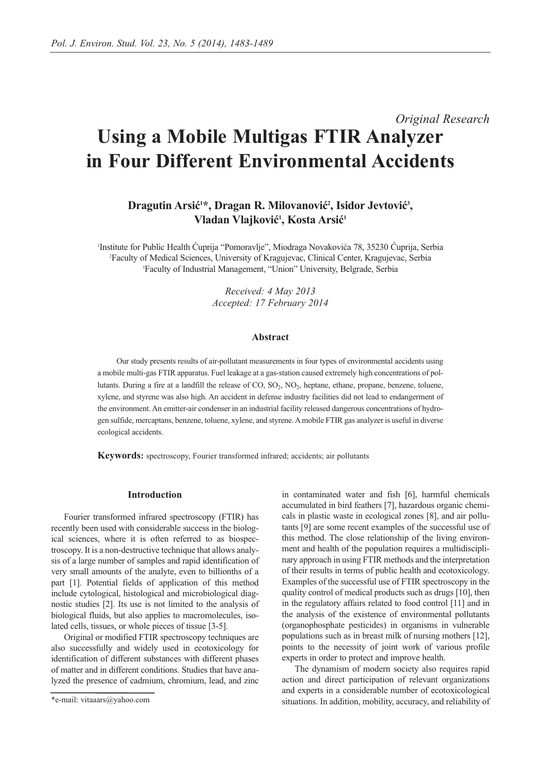# *Original Research* **Using a Mobile Multigas FTIR Analyzer in Four Different Environmental Accidents**

Dragutin Arsić<sup>1\*</sup>, Dragan R. Milovanović<sup>2</sup>, Isidor Jevtović<sup>3</sup>, **Vladan Vlajković1 , Kosta Arsić1**

1 Institute for Public Health Ćuprija "Pomoravlje", Miodraga Novakovića 78, 35230 Ćuprija, Serbia 2 Faculty of Medical Sciences, University of Kragujevac, Clinical Center, Kragujevac, Serbia 3 Faculty of Industrial Management, "Union" University, Belgrade, Serbia

> *Received: 4 May 2013 Accepted: 17 February 2014*

## **Abstract**

Our study presents results of air-pollutant measurements in four types of environmental accidents using a mobile multi-gas FTIR apparatus. Fuel leakage at a gas-station caused extremely high concentrations of pollutants. During a fire at a landfill the release of CO, SO<sub>2</sub>, NO<sub>2</sub>, heptane, ethane, propane, benzene, toluene, xylene, and styrene was also high. An accident in defense industry facilities did not lead to endangerment of the environment. An emitter-air condenser in an industrial facility released dangerous concentrations of hydrogen sulfide, mercaptans, benzene, toluene, xylene, and styrene. A mobile FTIR gas analyzer is useful in diverse ecological accidents.

**Keywords:** spectroscopy, Fourier transformed infrared; accidents; air pollutants

## **Introduction**

Fourier transformed infrared spectroscopy (FTIR) has recently been used with considerable success in the biological sciences, where it is often referred to as biospectroscopy. It is a non-destructive technique that allows analysis of a large number of samples and rapid identification of very small amounts of the analyte, even to billionths of a part [1]. Potential fields of application of this method include cytological, histological and microbiological diagnostic studies [2]. Its use is not limited to the analysis of biological fluids, but also applies to macromolecules, isolated cells, tissues, or whole pieces of tissue [3-5].

Original or modified FTIR spectroscopy techniques are also successfully and widely used in ecotoxicology for identification of different substances with different phases of matter and in different conditions. Studies that have analyzed the presence of cadmium, chromium, lead, and zinc in contaminated water and fish [6], harmful chemicals accumulated in bird feathers [7], hazardous organic chemicals in plastic waste in ecological zones [8], and air pollutants [9] are some recent examples of the successful use of this method. The close relationship of the living environment and health of the population requires a multidisciplinary approach in using FTIR methods and the interpretation of their results in terms of public health and ecotoxicology. Examples of the successful use of FTIR spectroscopy in the quality control of medical products such as drugs [10], then in the regulatory affairs related to food control [11] and in the analysis of the existence of environmental pollutants (organophosphate pesticides) in organisms in vulnerable populations such as in breast milk of nursing mothers [12], points to the necessity of joint work of various profile experts in order to protect and improve health.

The dynamism of modern society also requires rapid action and direct participation of relevant organizations and experts in a considerable number of ecotoxicological situations. In addition, mobility, accuracy, and reliability of

<sup>\*</sup>e-mail: vitaaars@yahoo.com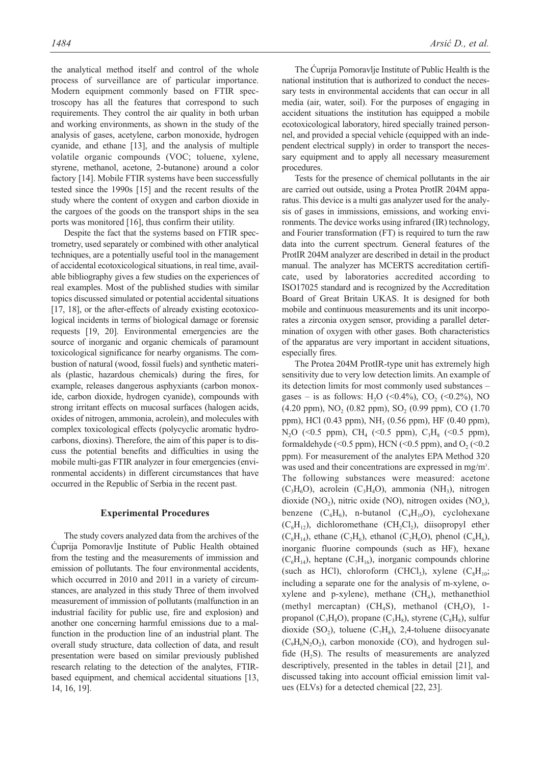the analytical method itself and control of the whole process of surveillance are of particular importance. Modern equipment commonly based on FTIR spectroscopy has all the features that correspond to such requirements. They control the air quality in both urban and working environments, as shown in the study of the analysis of gases, acetylene, carbon monoxide, hydrogen cyanide, and ethane [13], and the analysis of multiple volatile organic compounds (VOC; toluene, xylene, styrene, methanol, acetone, 2-butanone) around a color factory [14]. Mobile FTIR systems have been successfully tested since the 1990s [15] and the recent results of the study where the content of oxygen and carbon dioxide in the cargoes of the goods on the transport ships in the sea ports was monitored [16], thus confirm their utility.

Despite the fact that the systems based on FTIR spectrometry, used separately or combined with other analytical techniques, are a potentially useful tool in the management of accidental ecotoxicological situations, in real time, available bibliography gives a few studies on the experiences of real examples. Most of the published studies with similar topics discussed simulated or potential accidental situations [17, 18], or the after-effects of already existing ecotoxicological incidents in terms of biological damage or forensic requests [19, 20]. Environmental emergencies are the source of inorganic and organic chemicals of paramount toxicological significance for nearby organisms. The combustion of natural (wood, fossil fuels) and synthetic materials (plastic, hazardous chemicals) during the fires, for example, releases dangerous asphyxiants (carbon monoxide, carbon dioxide, hydrogen cyanide), compounds with strong irritant effects on mucosal surfaces (halogen acids, oxides of nitrogen, ammonia, acrolein), and molecules with complex toxicological effects (polycyclic aromatic hydrocarbons, dioxins). Therefore, the aim of this paper is to discuss the potential benefits and difficulties in using the mobile multi-gas FTIR analyzer in four emergencies (environmental accidents) in different circumstances that have occurred in the Republic of Serbia in the recent past.

#### **Experimental Procedures**

The study covers analyzed data from the archives of the Ćuprija Pomoravlje Institute of Public Health obtained from the testing and the measurements of immission and emission of pollutants. The four environmental accidents, which occurred in 2010 and 2011 in a variety of circumstances, are analyzed in this study Three of them involved measurement of immission of pollutants (malfunction in an industrial facility for public use, fire and explosion) and another one concerning harmful emissions due to a malfunction in the production line of an industrial plant. The overall study structure, data collection of data, and result presentation were based on similar previously published research relating to the detection of the analytes, FTIRbased equipment, and chemical accidental situations [13, 14, 16, 19].

The Ćuprija Pomoravlje Institute of Public Health is the national institution that is authorized to conduct the necessary tests in environmental accidents that can occur in all media (air, water, soil). For the purposes of engaging in accident situations the institution has equipped a mobile ecotoxicological laboratory, hired specially trained personnel, and provided a special vehicle (equipped with an independent electrical supply) in order to transport the neces-

sary equipment and to apply all necessary measurement

procedures. Tests for the presence of chemical pollutants in the air are carried out outside, using a Protea ProtIR 204M apparatus. This device is a multi gas analyzer used for the analysis of gases in immissions, emissions, and working environments. The device works using infrared (IR) technology, and Fourier transformation (FT) is required to turn the raw data into the current spectrum. General features of the ProtIR 204M analyzer are described in detail in the product manual. The analyzer has MCERTS accreditation certificate, used by laboratories accredited according to ISO17025 standard and is recognized by the Accreditation Board of Great Britain UKAS. It is designed for both mobile and continuous measurements and its unit incorporates a zirconia oxygen sensor, providing a parallel determination of oxygen with other gases. Both characteristics of the apparatus are very important in accident situations, especially fires.

The Protea 204M ProtIR-type unit has extremely high sensitivity due to very low detection limits. An example of its detection limits for most commonly used substances – gases – is as follows: H<sub>2</sub>O (<0.4%), CO<sub>2</sub> (<0.2%), NO (4.20 ppm),  $NO_2$  (0.82 ppm),  $SO_2$  (0.99 ppm),  $CO$  (1.70) ppm), HCl (0.43 ppm), NH<sub>3</sub> (0.56 ppm), HF (0.40 ppm), N<sub>2</sub>O (<0.5 ppm), CH<sub>4</sub> (<0.5 ppm), C<sub>3</sub>H<sub>8</sub> (<0.5 ppm), formaldehyde (<0.5 ppm), HCN (<0.5 ppm), and  $O_2$  (<0.2 ppm). For measurement of the analytes EPA Method 320 was used and their concentrations are expressed in mg/m<sup>3</sup>. The following substances were measured: acetone  $(C_3H_6O)$ , acrolein  $(C_3H_4O)$ , ammonia (NH<sub>3</sub>), nitrogen dioxide (NO<sub>2</sub>), nitric oxide (NO), nitrogen oxides (NO<sub>x</sub>), benzene  $(C_6H_6)$ , n-butanol  $(C_4H_{10}O)$ , cyclohexane  $(C_6H_{12})$ , dichloromethane  $(CH_2Cl_2)$ , diisopropyl ether  $(C_6H_{14})$ , ethane  $(C_2H_6)$ , ethanol  $(C_2H_6O)$ , phenol  $(C_6H_6)$ , inorganic fluorine compounds (such as HF), hexane  $(C_6H_{14})$ , heptane  $(C_7H_{16})$ , inorganic compounds chlorine (such as HCl), chloroform (CHCl<sub>3</sub>), xylene  $(C_8H_{10};$ including a separate one for the analysis of m-xylene, oxylene and p-xylene), methane  $(CH_4)$ , methanethiol (methyl mercaptan) (CH<sub>4</sub>S), methanol (CH<sub>4</sub>O), 1propanol ( $C_3H_8O$ ), propane ( $C_3H_8$ ), styrene ( $C_8H_8$ ), sulfur dioxide (SO<sub>2</sub>), toluene (C<sub>7</sub>H<sub>8</sub>), 2,4-toluene diisocyanate  $(C_9H_6N_2O_2)$ , carbon monoxide (CO), and hydrogen sulfide (H<sub>2</sub>S). The results of measurements are analyzed descriptively, presented in the tables in detail [21], and discussed taking into account official emission limit values (ELVs) for a detected chemical [22, 23].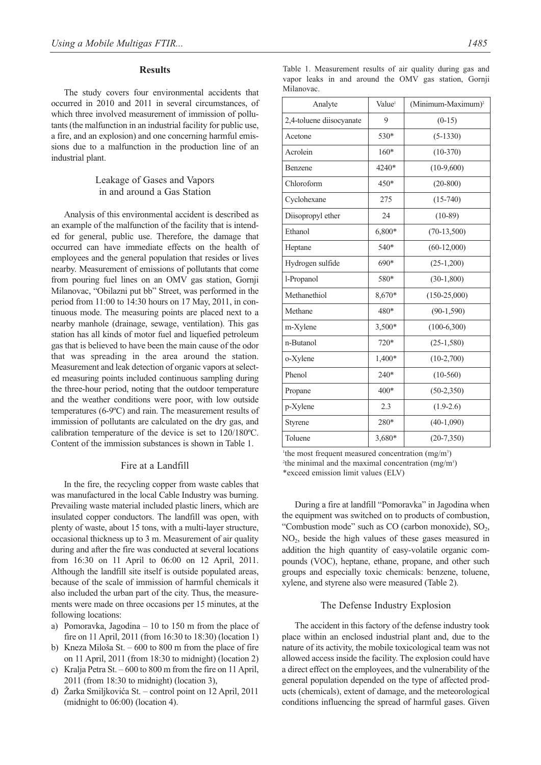## **Results**

The study covers four environmental accidents that occurred in 2010 and 2011 in several circumstances, of which three involved measurement of immission of pollutants (the malfunction in an industrial facility for public use, a fire, and an explosion) and one concerning harmful emissions due to a malfunction in the production line of an industrial plant.

## Leakage of Gases and Vapors in and around a Gas Station

Analysis of this environmental accident is described as an example of the malfunction of the facility that is intended for general, public use. Therefore, the damage that occurred can have immediate effects on the health of employees and the general population that resides or lives nearby. Measurement of emissions of pollutants that come from pouring fuel lines on an OMV gas station, Gornji Milanovac, "Obilazni put bb" Street, was performed in the period from 11:00 to 14:30 hours on 17 May, 2011, in continuous mode. The measuring points are placed next to a nearby manhole (drainage, sewage, ventilation). This gas station has all kinds of motor fuel and liquefied petroleum gas that is believed to have been the main cause of the odor that was spreading in the area around the station. Measurement and leak detection of organic vapors at selected measuring points included continuous sampling during the three-hour period, noting that the outdoor temperature and the weather conditions were poor, with low outside temperatures (6-9ºC) and rain. The measurement results of immission of pollutants are calculated on the dry gas, and calibration temperature of the device is set to 120/180ºC. Content of the immission substances is shown in Table 1.

## Fire at a Landfill

In the fire, the recycling copper from waste cables that was manufactured in the local Cable Industry was burning. Prevailing waste material included plastic liners, which are insulated copper conductors. The landfill was open, with plenty of waste, about 15 tons, with a multi-layer structure, occasional thickness up to 3 m. Measurement of air quality during and after the fire was conducted at several locations from 16:30 on 11 April to 06:00 on 12 April, 2011. Although the landfill site itself is outside populated areas, because of the scale of immission of harmful chemicals it also included the urban part of the city. Thus, the measurements were made on three occasions per 15 minutes, at the following locations:

- a) Pomoravka, Jagodina 10 to 150 m from the place of fire on 11 April, 2011 (from 16:30 to 18:30) (location 1)
- b) Kneza Miloša St. 600 to 800 m from the place of fire on 11 April, 2011 (from 18:30 to midnight) (location 2)
- c) Kralja Petra St. 600 to 800 m from the fire on 11 April, 2011 (from 18:30 to midnight) (location 3),
- d) Žarka Smiljkovića St. control point on 12 April, 2011 (midnight to 06:00) (location 4).

Table 1. Measurement results of air quality during gas and vapor leaks in and around the OMV gas station, Gornji Milanovac.

| Analyte                  | Value <sup>1</sup> | (Minimum-Maximum) <sup>2</sup> |
|--------------------------|--------------------|--------------------------------|
| 2,4-toluene diisocyanate | 9                  | $(0-15)$                       |
| Acetone                  | 530*               | $(5-1330)$                     |
| Acrolein                 | $160*$             | $(10-370)$                     |
| Benzene                  | 4240*              | $(10-9,600)$                   |
| Chloroform               | 450*               | $(20-800)$                     |
| Cyclohexane              | 275                | $(15-740)$                     |
| Diisopropyl ether        | 24                 | $(10-89)$                      |
| Ethanol                  | 6,800*             | $(70-13,500)$                  |
| Heptane                  | 540*               | $(60-12,000)$                  |
| Hydrogen sulfide         | 690*               | $(25-1,200)$                   |
| l-Propanol               | 580*               | $(30-1, 800)$                  |
| Methanethiol             | 8,670*             | $(150-25,000)$                 |
| Methane                  | 480*               | $(90-1, 590)$                  |
| m-Xylene                 | 3,500*             | $(100-6,300)$                  |
| n-Butanol                | 720*               | $(25-1,580)$                   |
| o-Xylene                 | 1,400*             | $(10-2,700)$                   |
| Phenol                   | $240*$             | $(10-560)$                     |
| Propane                  | 400*               | $(50-2,350)$                   |
| p-Xylene                 | 2.3                | $(1.9-2.6)$                    |
| Styrene                  | 280*               | $(40-1,090)$                   |
| Toluene                  | 3,680*             | $(20-7,350)$                   |

<sup>1</sup>the most frequent measured concentration  $(mg/m<sup>3</sup>)$ <sup>2</sup>the minimal and the maximal concentration  $(mg/m<sup>3</sup>)$ \*exceed emission limit values (ELV)

During a fire at landfill "Pomoravka" in Jagodina when the equipment was switched on to products of combustion, "Combustion mode" such as  $CO$  (carbon monoxide),  $SO<sub>2</sub>$ , NO2, beside the high values of these gases measured in addition the high quantity of easy-volatile organic compounds (VOC), heptane, ethane, propane, and other such groups and especially toxic chemicals: benzene, toluene, xylene, and styrene also were measured (Table 2).

## The Defense Industry Explosion

The accident in this factory of the defense industry took place within an enclosed industrial plant and, due to the nature of its activity, the mobile toxicological team was not allowed access inside the facility. The explosion could have a direct effect on the employees, and the vulnerability of the general population depended on the type of affected products (chemicals), extent of damage, and the meteorological conditions influencing the spread of harmful gases. Given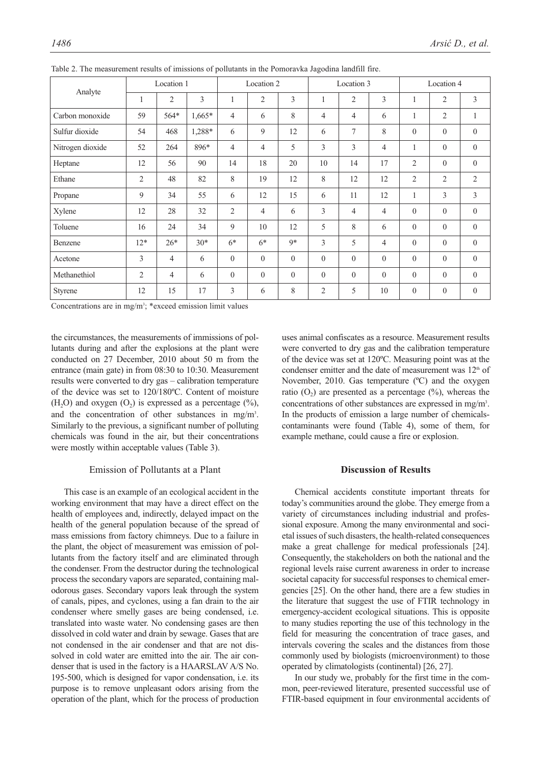| Analyte          | Location 1     |                |                | Location 2     |                |                | Location 3     |                |                | Location 4     |                |                |
|------------------|----------------|----------------|----------------|----------------|----------------|----------------|----------------|----------------|----------------|----------------|----------------|----------------|
|                  | 1              | $\overline{2}$ | $\overline{3}$ | $\mathbf{1}$   | $\overline{2}$ | 3              | 1              | $\overline{2}$ | 3              | 1              | $\overline{2}$ | $\overline{3}$ |
| Carbon monoxide  | 59             | 564*           | $1,665*$       | $\overline{4}$ | 6              | 8              | 4              | $\overline{4}$ | 6              | $\mathbf{1}$   | $\overline{2}$ | $\mathbf{1}$   |
| Sulfur dioxide   | 54             | 468            | 1,288*         | 6              | 9              | 12             | 6              | 7              | 8              | $\mathbf{0}$   | $\theta$       | $\mathbf{0}$   |
| Nitrogen dioxide | 52             | 264            | 896*           | $\overline{4}$ | $\overline{4}$ | 5              | 3              | 3              | $\overline{4}$ | $\mathbf{1}$   | $\theta$       | $\overline{0}$ |
| Heptane          | 12             | 56             | 90             | 14             | 18             | 20             | 10             | 14             | 17             | 2              | $\mathbf{0}$   | $\mathbf{0}$   |
| Ethane           | $\overline{2}$ | 48             | 82             | 8              | 19             | 12             | 8              | 12             | 12             | $\overline{2}$ | $\overline{2}$ | $\overline{2}$ |
| Propane          | 9              | 34             | 55             | 6              | 12             | 15             | 6              | 11             | 12             | $\mathbf{1}$   | 3              | $\overline{3}$ |
| Xylene           | 12             | 28             | 32             | $\overline{2}$ | $\overline{4}$ | 6              | 3              | $\overline{4}$ | $\overline{4}$ | $\mathbf{0}$   | $\theta$       | $\mathbf{0}$   |
| Toluene          | 16             | 24             | 34             | 9              | 10             | 12             | 5              | 8              | 6              | $\theta$       | $\theta$       | $\mathbf{0}$   |
| Benzene          | $12*$          | $26*$          | $30*$          | $6*$           | $6*$           | $9*$           | 3              | 5              | $\overline{4}$ | $\theta$       | $\theta$       | $\theta$       |
| Acetone          | 3              | $\overline{4}$ | 6              | $\mathbf{0}$   | $\overline{0}$ | $\overline{0}$ | $\mathbf{0}$   | $\mathbf{0}$   | $\overline{0}$ | $\mathbf{0}$   | $\mathbf{0}$   | $\mathbf{0}$   |
| Methanethiol     | $\overline{2}$ | $\overline{4}$ | 6              | $\mathbf{0}$   | $\overline{0}$ | $\overline{0}$ | $\mathbf{0}$   | $\mathbf{0}$   | $\mathbf{0}$   | $\mathbf{0}$   | $\theta$       | $\mathbf{0}$   |
| <b>Styrene</b>   | 12             | 15             | 17             | 3              | 6              | 8              | $\overline{2}$ | 5              | 10             | $\mathbf{0}$   | $\mathbf{0}$   | $\mathbf{0}$   |

Table 2. The measurement results of imissions of pollutants in the Pomoravka Jagodina landfill fire.

Concentrations are in  $mg/m^3$ ; \*exceed emission limit values

the circumstances, the measurements of immissions of pollutants during and after the explosions at the plant were conducted on 27 December, 2010 about 50 m from the entrance (main gate) in from 08:30 to 10:30. Measurement results were converted to dry gas – calibration temperature of the device was set to 120/180ºC. Content of moisture (H<sub>2</sub>O) and oxygen  $(O_2)$  is expressed as a percentage  $(\%)$ , and the concentration of other substances in mg/m<sup>3</sup>. Similarly to the previous, a significant number of polluting chemicals was found in the air, but their concentrations were mostly within acceptable values (Table 3).

## Emission of Pollutants at a Plant

This case is an example of an ecological accident in the working environment that may have a direct effect on the health of employees and, indirectly, delayed impact on the health of the general population because of the spread of mass emissions from factory chimneys. Due to a failure in the plant, the object of measurement was emission of pollutants from the factory itself and are eliminated through the condenser. From the destructor during the technological process the secondary vapors are separated, containing malodorous gases. Secondary vapors leak through the system of canals, pipes, and cyclones, using a fan drain to the air condenser where smelly gases are being condensed, i.e. translated into waste water. No condensing gases are then dissolved in cold water and drain by sewage. Gases that are not condensed in the air condenser and that are not dissolved in cold water are emitted into the air. The air condenser that is used in the factory is a HAARSLAV A/S No. 195-500, which is designed for vapor condensation, i.e. its purpose is to remove unpleasant odors arising from the operation of the plant, which for the process of production

uses animal confiscates as a resource. Measurement results were converted to dry gas and the calibration temperature of the device was set at 120ºC. Measuring point was at the condenser emitter and the date of measurement was 12<sup>th</sup> of November, 2010. Gas temperature (ºC) and the oxygen ratio  $(O_2)$  are presented as a percentage  $(\%)$ , whereas the concentrations of other substances are expressed in mg/m3 . In the products of emission a large number of chemicalscontaminants were found (Table 4), some of them, for example methane, could cause a fire or explosion.

## **Discussion of Results**

Chemical accidents constitute important threats for today's communities around the globe. They emerge from a variety of circumstances including industrial and professional exposure. Among the many environmental and societal issues of such disasters, the health-related consequences make a great challenge for medical professionals [24]. Consequently, the stakeholders on both the national and the regional levels raise current awareness in order to increase societal capacity for successful responses to chemical emergencies [25]. On the other hand, there are a few studies in the literature that suggest the use of FTIR technology in emergency-accident ecological situations. This is opposite to many studies reporting the use of this technology in the field for measuring the concentration of trace gases, and intervals covering the scales and the distances from those commonly used by biologists (microenvironment) to those operated by climatologists (continental) [26, 27].

In our study we, probably for the first time in the common, peer-reviewed literature, presented successful use of FTIR-based equipment in four environmental accidents of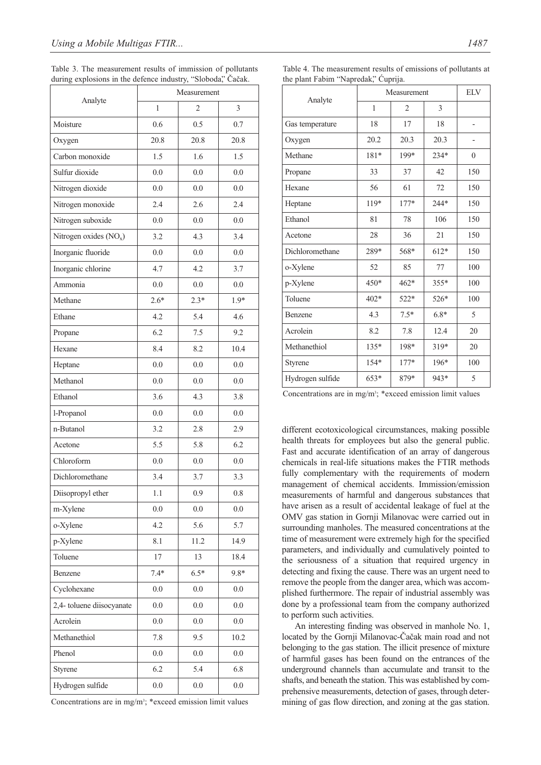|                           | Measurement |         |         |  |  |  |
|---------------------------|-------------|---------|---------|--|--|--|
| Analyte                   | 1           | 2       | 3       |  |  |  |
| Moisture                  | 0.6         | 0.5     | 0.7     |  |  |  |
| Oxygen                    | 20.8        | 20.8    | 20.8    |  |  |  |
| Carbon monoxide           | 1.5         | 1.6     | 1.5     |  |  |  |
| Sulfur dioxide            | 0.0         | 0.0     | 0.0     |  |  |  |
| Nitrogen dioxide          | 0.0         | 0.0     | 0.0     |  |  |  |
| Nitrogen monoxide         | 2.4         | 2.6     | 2.4     |  |  |  |
| Nitrogen suboxide         | 0.0         | 0.0     | 0.0     |  |  |  |
| Nitrogen oxides $(NO_x)$  | 3.2         | 4.3     | 3.4     |  |  |  |
| Inorganic fluoride        | 0.0         | 0.0     | 0.0     |  |  |  |
| Inorganic chlorine        | 4.7         | 4.2     | 3.7     |  |  |  |
| Ammonia                   | 0.0         | 0.0     | 0.0     |  |  |  |
| Methane                   | $2.6*$      | $2.3*$  | 1.9*    |  |  |  |
| Ethane                    | 4.2         | 5.4     | 4.6     |  |  |  |
| Propane                   | 6.2         | 7.5     | 9.2     |  |  |  |
| Hexane                    | 8.4         | 8.2     | 10.4    |  |  |  |
| Heptane                   | 0.0         | 0.0     | 0.0     |  |  |  |
| Methanol                  | 0.0         | 0.0     | 0.0     |  |  |  |
| Ethanol                   | 3.6         | 4.3     | 3.8     |  |  |  |
| 1-Propanol                | 0.0         | 0.0     | 0.0     |  |  |  |
| n-Butanol                 | 3.2         | 2.8     | 2.9     |  |  |  |
| Acetone                   | 5.5         | 5.8     | 6.2     |  |  |  |
| Chloroform                | 0.0         | 0.0     | 0.0     |  |  |  |
| Dichloromethane           | 3.4         | 3.7     | 3.3     |  |  |  |
| Diisopropyl ether         | 1.1         | 0.9     | $0.8\,$ |  |  |  |
| m-Xylene                  | $0.0\,$     | 0.0     | 0.0     |  |  |  |
| o-Xylene                  | 4.2         | 5.6     | 5.7     |  |  |  |
| p-Xylene                  | 8.1         | 11.2    | 14.9    |  |  |  |
| Toluene                   | 17          | 13      | 18.4    |  |  |  |
| Benzene                   | $7.4*$      | $6.5*$  | $9.8*$  |  |  |  |
| Cyclohexane               | $0.0\,$     | $0.0\,$ | $0.0\,$ |  |  |  |
| 2,4- toluene diisocyanate | 0.0         | $0.0\,$ | 0.0     |  |  |  |
| Acrolein                  | 0.0         | 0.0     | $0.0\,$ |  |  |  |
| Methanethiol              | 7.8         | 9.5     | 10.2    |  |  |  |
| Phenol                    | $0.0\,$     | 0.0     | 0.0     |  |  |  |
| Styrene                   | 6.2         | 5.4     | 6.8     |  |  |  |
| Hydrogen sulfide          | 0.0         | 0.0     | 0.0     |  |  |  |

Table 3. The measurement results of immission of pollutants during explosions in the defence industry, "Sloboda," Čačak.

Concentrations are in  $mg/m^3$ ; \*exceed emission limit values

Table 4. The measurement results of emissions of pollutants at the plant Fabim "Napredak," Ćuprija.

| Analyte          | Measurement  | <b>ELV</b>     |        |              |
|------------------|--------------|----------------|--------|--------------|
|                  | $\mathbf{1}$ | $\overline{2}$ | 3      |              |
| Gas temperature  | 18           | 17             | 18     |              |
| Oxygen           | 20.2         | 20.3           | 20.3   |              |
| Methane          | 181*         | 199*           | 234*   | $\mathbf{0}$ |
| Propane          | 33           | 37             | 42     | 150          |
| Hexane           | 56           | 61             | 72     | 150          |
| Heptane          | 119*         | 177*           | 244*   | 150          |
| Ethanol          | 81           | 78             | 106    | 150          |
| Acetone          | 28           | 36             | 21     | 150          |
| Dichloromethane  | 289*         | 568*           | 612*   | 150          |
| o-Xylene         | 52           | 85             | 77     | 100          |
| p-Xylene         | 450*         | 462*           | 355*   | 100          |
| Toluene          | $402*$       | 522*           | 526*   | 100          |
| Benzene          | 4.3          | $7.5*$         | $6.8*$ | 5            |
| Acrolein         | 8.2          | 7.8            | 12.4   | 20           |
| Methanethiol     | 135*         | 198*           | 319*   | 20           |
| Styrene          | 154*         | 177*           | 196*   | 100          |
| Hydrogen sulfide | 653*         | 879*           | 943*   | 5            |
|                  |              |                |        |              |

Concentrations are in  $mg/m^3$ ; \*exceed emission limit values

different ecotoxicological circumstances, making possible health threats for employees but also the general public. Fast and accurate identification of an array of dangerous chemicals in real-life situations makes the FTIR methods fully complementary with the requirements of modern management of chemical accidents. Immission/emission measurements of harmful and dangerous substances that have arisen as a result of accidental leakage of fuel at the OMV gas station in Gornji Milanovac were carried out in surrounding manholes. The measured concentrations at the time of measurement were extremely high for the specified parameters, and individually and cumulatively pointed to the seriousness of a situation that required urgency in detecting and fixing the cause. There was an urgent need to remove the people from the danger area, which was accomplished furthermore. The repair of industrial assembly was done by a professional team from the company authorized to perform such activities.

An interesting finding was observed in manhole No. 1, located by the Gornji Milanovac-Čačak main road and not belonging to the gas station. The illicit presence of mixture of harmful gases has been found on the entrances of the underground channels than accumulate and transit to the shafts, and beneath the station. This was established by comprehensive measurements, detection of gases, through determining of gas flow direction, and zoning at the gas station.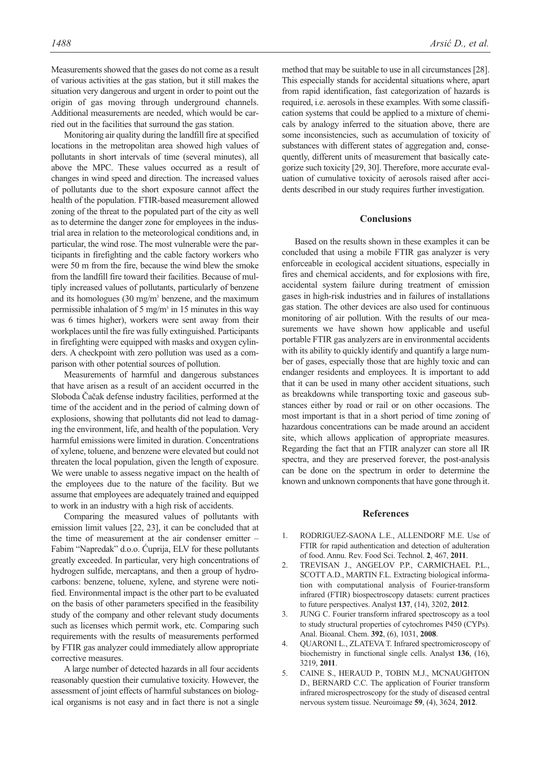Measurements showed that the gases do not come as a result of various activities at the gas station, but it still makes the situation very dangerous and urgent in order to point out the origin of gas moving through underground channels. Additional measurements are needed, which would be carried out in the facilities that surround the gas station.

Monitoring air quality during the landfill fire at specified locations in the metropolitan area showed high values of pollutants in short intervals of time (several minutes), all above the MPC. These values occurred as a result of changes in wind speed and direction. The increased values of pollutants due to the short exposure cannot affect the health of the population. FTIR-based measurement allowed zoning of the threat to the populated part of the city as well as to determine the danger zone for employees in the industrial area in relation to the meteorological conditions and, in particular, the wind rose. The most vulnerable were the participants in firefighting and the cable factory workers who were 50 m from the fire, because the wind blew the smoke from the landfill fire toward their facilities. Because of multiply increased values of pollutants, particularly of benzene and its homologues (30 mg/m3 benzene, and the maximum permissible inhalation of 5 mg/m<sup>3</sup> in 15 minutes in this way was 6 times higher), workers were sent away from their workplaces until the fire was fully extinguished. Participants in firefighting were equipped with masks and oxygen cylinders. A checkpoint with zero pollution was used as a comparison with other potential sources of pollution.

Measurements of harmful and dangerous substances that have arisen as a result of an accident occurred in the Sloboda Čačak defense industry facilities, performed at the time of the accident and in the period of calming down of explosions, showing that pollutants did not lead to damaging the environment, life, and health of the population. Very harmful emissions were limited in duration. Concentrations of xylene, toluene, and benzene were elevated but could not threaten the local population, given the length of exposure. We were unable to assess negative impact on the health of the employees due to the nature of the facility. But we assume that employees are adequately trained and equipped to work in an industry with a high risk of accidents.

Comparing the measured values of pollutants with emission limit values [22, 23], it can be concluded that at the time of measurement at the air condenser emitter – Fabim "Napredak" d.o.o. Ćuprija, ELV for these pollutants greatly exceeded. In particular, very high concentrations of hydrogen sulfide, mercaptans, and then a group of hydrocarbons: benzene, toluene, xylene, and styrene were notified. Environmental impact is the other part to be evaluated on the basis of other parameters specified in the feasibility study of the company and other relevant study documents such as licenses which permit work, etc. Comparing such requirements with the results of measurements performed by FTIR gas analyzer could immediately allow appropriate corrective measures.

A large number of detected hazards in all four accidents reasonably question their cumulative toxicity. However, the assessment of joint effects of harmful substances on biological organisms is not easy and in fact there is not a single method that may be suitable to use in all circumstances [28]. This especially stands for accidental situations where, apart from rapid identification, fast categorization of hazards is required, i.e. aerosols in these examples. With some classification systems that could be applied to a mixture of chemicals by analogy inferred to the situation above, there are some inconsistencies, such as accumulation of toxicity of substances with different states of aggregation and, consequently, different units of measurement that basically categorize such toxicity [29, 30]. Therefore, more accurate evaluation of cumulative toxicity of aerosols raised after accidents described in our study requires further investigation.

#### **Conclusions**

Based on the results shown in these examples it can be concluded that using a mobile FTIR gas analyzer is very enforceable in ecological accident situations, especially in fires and chemical accidents, and for explosions with fire, accidental system failure during treatment of emission gases in high-risk industries and in failures of installations gas station. The other devices are also used for continuous monitoring of air pollution. With the results of our measurements we have shown how applicable and useful portable FTIR gas analyzers are in environmental accidents with its ability to quickly identify and quantify a large number of gases, especially those that are highly toxic and can endanger residents and employees. It is important to add that it can be used in many other accident situations, such as breakdowns while transporting toxic and gaseous substances either by road or rail or on other occasions. The most important is that in a short period of time zoning of hazardous concentrations can be made around an accident site, which allows application of appropriate measures. Regarding the fact that an FTIR analyzer can store all IR spectra, and they are preserved forever, the post-analysis can be done on the spectrum in order to determine the known and unknown components that have gone through it.

#### **References**

- 1. RODRIGUEZ-SAONA L.E., ALLENDORF M.E. Use of FTIR for rapid authentication and detection of adulteration of food. Annu. Rev. Food Sci. Technol. **2**, 467, **2011**.
- 2. TREVISAN J., ANGELOV P.P., CARMICHAEL P.L., SCOTT A.D., MARTIN F.L. Extracting biological information with computational analysis of Fourier-transform infrared (FTIR) biospectroscopy datasets: current practices to future perspectives. Analyst **137**, (14), 3202, **2012**.
- 3. JUNG C. Fourier transform infrared spectroscopy as a tool to study structural properties of cytochromes P450 (CYPs). Anal. Bioanal. Chem. **392**, (6), 1031, **2008**.
- 4. QUARONI L., ZLATEVA T. Infrared spectromicroscopy of biochemistry in functional single cells. Analyst **136**, (16), 3219, **2011**.
- 5. CAINE S., HERAUD P., TOBIN M.J., MCNAUGHTON D., BERNARD C.C. The application of Fourier transform infrared microspectroscopy for the study of diseased central nervous system tissue. Neuroimage **59**, (4), 3624, **2012**.